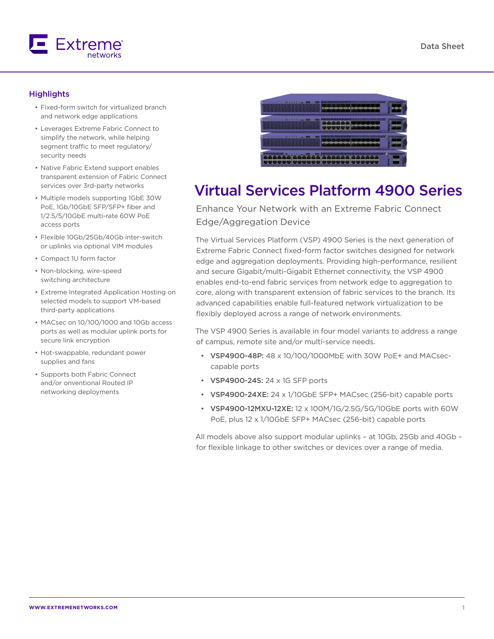

## **Highlights**

- Fixed-form switch for virtualized branch and network edge applications
- Leverages Extreme Fabric Connect to simplify the network, while helping segment traffic to meet regulatory/ security needs
- Native Fabric Extend support enables transparent extension of Fabric Connect services over 3rd-party networks
- Multiple models supporting 1GbE 30W PoE, 1Gb/10GbE SFP/SFP+ fiber and 1/2.5/5/10GbE multi-rate 60W PoE access ports
- Flexible 10Gb/25Gb/40Gb inter-switch or uplinks via optional VIM modules
- Compact 1U form factor
- Non-blocking, wire-speed switching architecture
- Extreme Integrated Application Hosting on selected models to support VM-based third-party applications
- MACsec on 10/100/1000 and 10Gb access ports as well as modular uplink ports for secure link encryption
- Hot-swappable, redundant power supplies and fans
- Supports both Fabric Connect and/or onventional Routed IP networking deployments



# Virtual Services Platform 4900 Series

Enhance Your Network with an Extreme Fabric Connect Edge/Aggregation Device

The Virtual Services Platform (VSP) 4900 Series is the next generation of Extreme Fabric Connect fixed-form factor switches designed for network edge and aggregation deployments. Providing high-performance, resilient and secure Gigabit/multi-Gigabit Ethernet connectivity, the VSP 4900 enables end-to-end fabric services from network edge to aggregation to core, along with transparent extension of fabric services to the branch. Its advanced capabilities enable full-featured network virtualization to be flexibly deployed across a range of network environments.

The VSP 4900 Series is available in four model variants to address a range of campus, remote site and/or multi-service needs.

- VSP4900-48P: 48 x 10/100/1000MbE with 30W PoE+ and MACseccapable ports
- VSP4900-24S: 24 x 1G SFP ports
- VSP4900-24XE: 24 x 1/10GbE SFP+ MACsec (256-bit) capable ports
- VSP4900-12MXU-12XE: 12 x 100M/1G/2.5G/5G/10GbE ports with 60W PoE, plus 12 x 1/10GbE SFP+ MACsec (256-bit) capable ports

All models above also support modular uplinks – at 10Gb, 25Gb and 40Gb – for flexible linkage to other switches or devices over a range of media.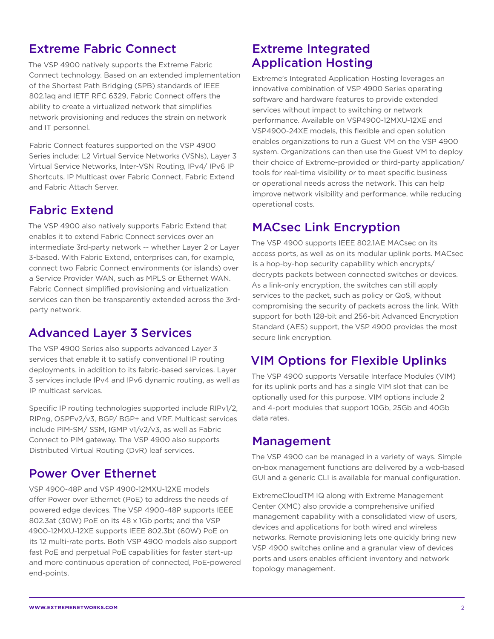# Extreme Fabric Connect

The VSP 4900 natively supports the Extreme Fabric Connect technology. Based on an extended implementation of the Shortest Path Bridging (SPB) standards of IEEE 802.1aq and IETF RFC 6329, Fabric Connect offers the ability to create a virtualized network that simplifies network provisioning and reduces the strain on network and IT personnel.

Fabric Connect features supported on the VSP 4900 Series include: L2 Virtual Service Networks (VSNs), Layer 3 Virtual Service Networks, Inter-VSN Routing, IPv4/ IPv6 IP Shortcuts, IP Multicast over Fabric Connect, Fabric Extend and Fabric Attach Server.

# Fabric Extend

The VSP 4900 also natively supports Fabric Extend that enables it to extend Fabric Connect services over an intermediate 3rd-party network -- whether Layer 2 or Layer 3-based. With Fabric Extend, enterprises can, for example, connect two Fabric Connect environments (or islands) over a Service Provider WAN, such as MPLS or Ethernet WAN. Fabric Connect simplified provisioning and virtualization services can then be transparently extended across the 3rdparty network.

# Advanced Layer 3 Services

The VSP 4900 Series also supports advanced Layer 3 services that enable it to satisfy conventional IP routing deployments, in addition to its fabric-based services. Layer 3 services include IPv4 and IPv6 dynamic routing, as well as IP multicast services.

Specific IP routing technologies supported include RIPv1/2, RIPng, OSPFv2/v3, BGP/ BGP+ and VRF. Multicast services include PIM-SM/ SSM, IGMP v1/v2/v3, as well as Fabric Connect to PIM gateway. The VSP 4900 also supports Distributed Virtual Routing (DvR) leaf services.

# Power Over Ethernet

VSP 4900-48P and VSP 4900-12MXU-12XE models offer Power over Ethernet (PoE) to address the needs of powered edge devices. The VSP 4900-48P supports IEEE 802.3at (30W) PoE on its 48 x 1Gb ports; and the VSP 4900-12MXU-12XE supports IEEE 802.3bt (60W) PoE on its 12 multi-rate ports. Both VSP 4900 models also support fast PoE and perpetual PoE capabilities for faster start-up and more continuous operation of connected, PoE-powered end-points.

# Extreme Integrated Application Hosting

Extreme's Integrated Application Hosting leverages an innovative combination of VSP 4900 Series operating software and hardware features to provide extended services without impact to switching or network performance. Available on VSP4900-12MXU-12XE and VSP4900-24XE models, this flexible and open solution enables organizations to run a Guest VM on the VSP 4900 system. Organizations can then use the Guest VM to deploy their choice of Extreme-provided or third-party application/ tools for real-time visibility or to meet specific business or operational needs across the network. This can help improve network visibility and performance, while reducing operational costs.

# MACsec Link Encryption

The VSP 4900 supports IEEE 802.1AE MACsec on its access ports, as well as on its modular uplink ports. MACsec is a hop-by-hop security capability which encrypts/ decrypts packets between connected switches or devices. As a link-only encryption, the switches can still apply services to the packet, such as policy or QoS, without compromising the security of packets across the link. With support for both 128-bit and 256-bit Advanced Encryption Standard (AES) support, the VSP 4900 provides the most secure link encryption.

# VIM Options for Flexible Uplinks

The VSP 4900 supports Versatile Interface Modules (VIM) for its uplink ports and has a single VIM slot that can be optionally used for this purpose. VIM options include 2 and 4-port modules that support 10Gb, 25Gb and 40Gb data rates.

## Management

The VSP 4900 can be managed in a variety of ways. Simple on-box management functions are delivered by a web-based GUI and a generic CLI is available for manual configuration.

ExtremeCloudTM IQ along with Extreme Management Center (XMC) also provide a comprehensive unified management capability with a consolidated view of users, devices and applications for both wired and wireless networks. Remote provisioning lets one quickly bring new VSP 4900 switches online and a granular view of devices ports and users enables efficient inventory and network topology management.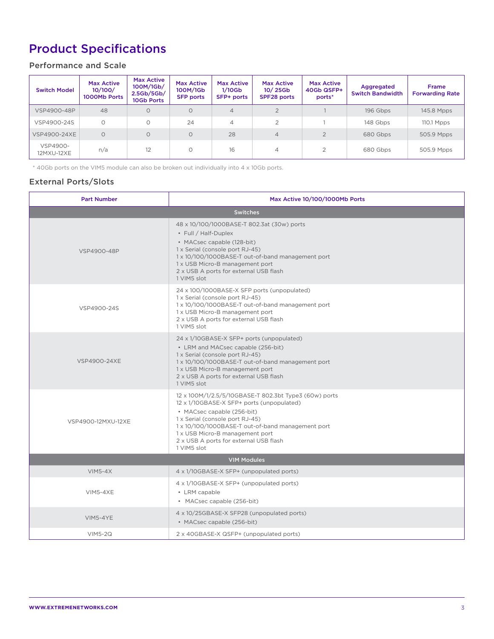# Product Specifications

## Performance and Scale

| <b>Switch Model</b>    | <b>Max Active</b><br>10/100/<br>1000Mb Ports | <b>Max Active</b><br>100M/1Gb/<br>2.5Gb/5Gb/<br>10Gb Ports | <b>Max Active</b><br>100M/1Gb<br><b>SFP ports</b> | <b>Max Active</b><br>$1/10$ Gb<br>SFP+ ports | <b>Max Active</b><br>$10/25$ Gb<br>SPF28 ports | <b>Max Active</b><br>40Gb QSFP+<br>ports* | Aggregated<br><b>Switch Bandwidth</b> | <b>Frame</b><br><b>Forwarding Rate</b> |
|------------------------|----------------------------------------------|------------------------------------------------------------|---------------------------------------------------|----------------------------------------------|------------------------------------------------|-------------------------------------------|---------------------------------------|----------------------------------------|
| VSP4900-48P            | 48                                           | $\circ$                                                    | $\circ$                                           | $\overline{4}$                               | $\overline{2}$                                 |                                           | 196 Gbps                              | 145.8 Mpps                             |
| VSP4900-24S            |                                              | $\circ$                                                    | 24                                                | 4                                            | ⌒                                              |                                           | 148 Gbps                              | $110.1$ Mpps                           |
| <b>VSP4900-24XE</b>    | $\Omega$                                     | $\circ$                                                    | $\Omega$                                          | 28                                           | $\overline{4}$                                 |                                           | 680 Gbps                              | 505.9 Mpps                             |
| VSP4900-<br>12MXU-12XE | n/a                                          | 12                                                         | $\circ$                                           | 16                                           | 4                                              |                                           | 680 Gbps                              | 505.9 Mpps                             |

\* 40Gb ports on the VIM5 module can also be broken out individually into 4 x 10Gb ports.

## External Ports/Slots

| <b>Part Number</b>  | Max Active 10/100/1000Mb Ports                                                                                                                                                                                                                                                                                       |  |  |  |  |
|---------------------|----------------------------------------------------------------------------------------------------------------------------------------------------------------------------------------------------------------------------------------------------------------------------------------------------------------------|--|--|--|--|
| <b>Switches</b>     |                                                                                                                                                                                                                                                                                                                      |  |  |  |  |
| VSP4900-48P         | 48 x 10/100/1000BASE-T 802.3at (30w) ports<br>• Full / Half-Duplex<br>• MACsec capable (128-bit)<br>1 x Serial (console port RJ-45)<br>1 x 10/100/1000BASE-T out-of-band management port<br>1 x USB Micro-B management port<br>2 x USB A ports for external USB flash<br>1 VIM5 slot                                 |  |  |  |  |
| VSP4900-24S         | 24 x 100/1000BASE-X SFP ports (unpopulated)<br>1 x Serial (console port RJ-45)<br>1 x 10/100/1000BASE-T out-of-band management port<br>1 x USB Micro-B management port<br>2 x USB A ports for external USB flash<br>1 VIM5 slot                                                                                      |  |  |  |  |
| <b>VSP4900-24XE</b> | 24 x 1/10GBASE-X SFP+ ports (unpopulated)<br>• LRM and MACsec capable (256-bit)<br>1 x Serial (console port RJ-45)<br>1 x 10/100/1000BASE-T out-of-band management port<br>1 x USB Micro-B management port<br>2 x USB A ports for external USB flash<br>1 VIM5 slot                                                  |  |  |  |  |
| VSP4900-12MXU-12XE  | 12 x 100M/1/2.5/5/10GBASE-T 802.3bt Type3 (60w) ports<br>12 x 1/10GBASE-X SFP+ ports (unpopulated)<br>• MACsec capable (256-bit)<br>1 x Serial (console port RJ-45)<br>1 x 10/100/1000BASE-T out-of-band management port<br>1 x USB Micro-B management port<br>2 x USB A ports for external USB flash<br>1 VIM5 slot |  |  |  |  |
|                     | <b>VIM Modules</b>                                                                                                                                                                                                                                                                                                   |  |  |  |  |
| $VIM5-4X$           | 4 x 1/10GBASE-X SFP+ (unpopulated ports)                                                                                                                                                                                                                                                                             |  |  |  |  |
| <b>VIM5-4XE</b>     | 4 x 1/10GBASE-X SFP+ (unpopulated ports)<br>• LRM capable<br>• MACsec capable (256-bit)                                                                                                                                                                                                                              |  |  |  |  |
| VIM5-4YE            | 4 x 10/25GBASE-X SFP28 (unpopulated ports)<br>• MACsec capable (256-bit)                                                                                                                                                                                                                                             |  |  |  |  |
| $VIM5-2Q$           | 2 x 40GBASE-X QSFP+ (unpopulated ports)                                                                                                                                                                                                                                                                              |  |  |  |  |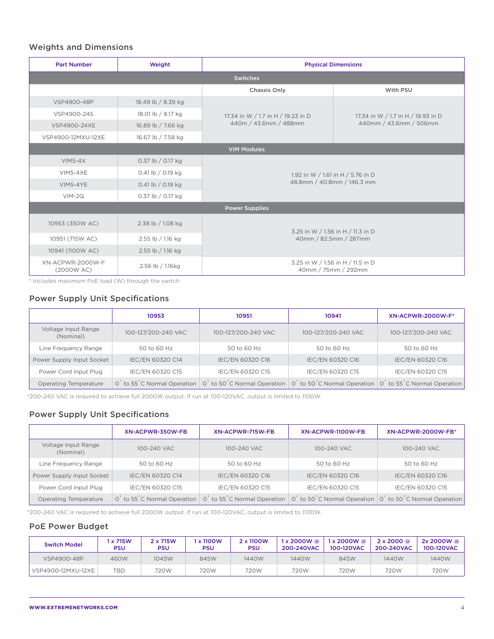### Weights and Dimensions

| <b>Part Number</b>             | Weight                                                 |                                                            | <b>Physical Dimensions</b>                               |  |
|--------------------------------|--------------------------------------------------------|------------------------------------------------------------|----------------------------------------------------------|--|
| <b>Switches</b>                |                                                        |                                                            |                                                          |  |
|                                |                                                        | Chassis Only                                               | With PSU                                                 |  |
| VSP4900-48P                    | 18.49 lb / 8.39 kg                                     |                                                            |                                                          |  |
| VSP4900-24S                    | 18.01 lb / 8.17 kg                                     | 17.34 in W / 1.7 in H / 19.23 in D                         | 17.34 in W / 1.7 in H / 19.93 in D                       |  |
| VSP4900-24XE                   | 16.89 lb / 7.66 kg                                     | 440m / 43.6mm / 488mm                                      | 440mm / 43.6mm / 506mm                                   |  |
| VSP4900-12MXU-12XE             | 16.67 lb / 7.58 kg                                     |                                                            |                                                          |  |
|                                |                                                        | <b>VIM Modules</b>                                         |                                                          |  |
| $VIM5-4X$                      | 0.37 lb / 0.17 kg                                      |                                                            |                                                          |  |
| <b>VIM5-4XE</b>                | 0.41 lb / 0.19 kg<br>1.92 in W / 1.61 in H / 5.76 in D |                                                            |                                                          |  |
| VIM5-4YE                       | 0.41 lb / 0.19 kg                                      | 48.8mm / 40.8mm / 146.3 mm                                 |                                                          |  |
| $VIM-2Q$                       | 0.37 lb / 0.17 kg                                      |                                                            |                                                          |  |
|                                |                                                        | <b>Power Supplies</b>                                      |                                                          |  |
| 10953 (350W AC)                | 2.38 lb / 1.08 kg                                      |                                                            |                                                          |  |
| 10951 (715W AC)                | 2.55 lb / 1.16 kg                                      | 3.25 in W / 1.56 in H / 11.3 in D<br>40mm / 82.5mm / 287mm |                                                          |  |
| 10941 (1100W AC)               | 2.55 lb / 1.16 kg                                      |                                                            |                                                          |  |
| XN-ACPWR-2000W-F<br>(2000W AC) | 2.56 lb / 1.16kg                                       |                                                            | 3.25 in W / 1.56 in H / 11.5 in D<br>40mm / 75mm / 292mm |  |

\* Includes maximum PoE load (W) through the switch

## Power Supply Unit Specifications

|                                  | 10953                                                | 10951                                                | 10941                                                                                                     | <b>XN-ACPWR-2000W-F*</b> |
|----------------------------------|------------------------------------------------------|------------------------------------------------------|-----------------------------------------------------------------------------------------------------------|--------------------------|
| Voltage Input Range<br>(Nominal) | 100-127/200-240 VAC                                  | 100-127/200-240 VAC                                  | 100-127/200-240 VAC                                                                                       | 100-127/200-240 VAC      |
| Line Frequency Range             | 50 to 60 Hz                                          | 50 to 60 Hz                                          | 50 to 60 Hz                                                                                               | 50 to 60 Hz              |
| Power Supply Input Socket        | IEC/EN 60320 C14                                     | IEC/EN 60320 C16                                     | IEC/EN 60320 C16                                                                                          | IEC/EN 60320 C16         |
| Power Cord Input Plug            | IEC/EN 60320 C15                                     | IEC/EN 60320 C15                                     | IEC/EN 60320 C15                                                                                          | IEC/EN 60320 C15         |
| Operating Temperature            | 0 <sup>°</sup> to 55 <sup>°</sup> C Normal Operation | 0 <sup>°</sup> to 50 <sup>°</sup> C Normal Operation | 0 <sup>t</sup> to 50 <sup>°</sup> C Normal Operation 0 <sup>°</sup> to 55 <sup>°</sup> C Normal Operation |                          |

\*200-240 VAC is required to achieve full 2000W output. If run at 100-120VAC, output is limited to 1100W.

## Power Supply Unit Specifications

|                                  | XN-ACPWR-350W-FB                                 | XN-ACPWR-715W-FB                                     | XN-ACPWR-1100W-FB | XN-ACPWR-2000W-FB*                                                                                  |
|----------------------------------|--------------------------------------------------|------------------------------------------------------|-------------------|-----------------------------------------------------------------------------------------------------|
| Voltage Input Range<br>(Nominal) | 100-240 VAC                                      | 100-240 VAC                                          | 100-240 VAC       | 100-240 VAC                                                                                         |
| Line Frequency Range             | 50 to 60 Hz                                      | 50 to 60 Hz                                          | 50 to 60 Hz       | 50 to 60 Hz                                                                                         |
| Power Supply Input Socket        | IEC/EN 60320 C14                                 | IEC/EN 60320 C16                                     | IEC/EN 60320 C16  | IEC/EN 60320 C16                                                                                    |
| Power Cord Input Plug            | IEC/EN 60320 C15                                 | IEC/EN 60320 C15                                     | IEC/EN 60320 C15  | IEC/EN 60320 C15                                                                                    |
| Operating Temperature            | 0 <sup>to 55</sup> <sup>c</sup> Normal Operation | 0 <sup>°</sup> to 55 <sup>°</sup> C Normal Operation |                   | 0 <sup>to</sup> 50 <sup>c</sup> Normal Operation 0 <sup>t</sup> to 50 <sup>c</sup> Normal Operation |

\*200-240 VAC is required to achieve full 2000W output. If run at 100-120VAC, output is limited to 1100W.

### PoE Power Budget

| <b>Switch Model</b> | x 715W<br>PSU | 2 x 715W<br>PSU | <b>x 1100W</b><br><b>PSU</b> | 2 x 1100W<br>PSU | $1 \times 2000W$ @<br>200-240VAC | $1 \times 2000W$ @<br>100-120VAC | $2 \times 2000$ @<br>200-240VAC | $2x 2000W$ @<br>100-120VAC |
|---------------------|---------------|-----------------|------------------------------|------------------|----------------------------------|----------------------------------|---------------------------------|----------------------------|
| VSP4900-48P         | 460W          | 1045W           | 845W                         | 1440W            | 1440W                            | 845W                             | 1440W                           | 1440W                      |
| VSP4900-12MXU-12XE  | TBD           | 720W            | 720W                         | 720W             | 720W                             | 720W                             | 720W                            | 720W                       |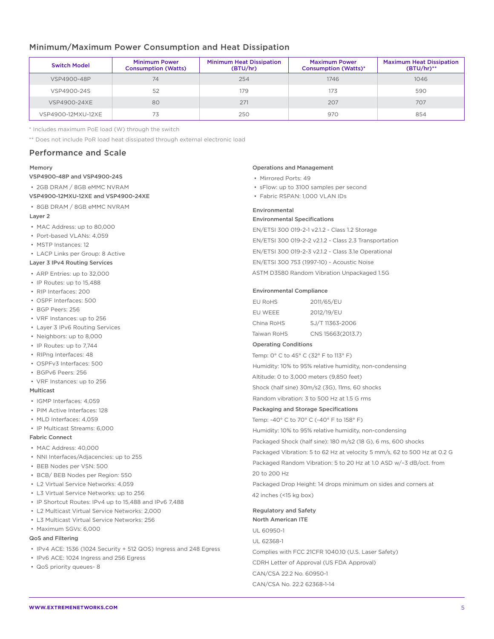### Minimum/Maximum Power Consumption and Heat Dissipation

| <b>Switch Model</b> | <b>Minimum Power</b><br><b>Consumption (Watts)</b> | <b>Minimum Heat Dissipation</b><br>(BTU/hr) | <b>Maximum Power</b><br><b>Consumption (Watts)*</b> | <b>Maximum Heat Dissipation</b><br>$(BTU/hr)$ ** |
|---------------------|----------------------------------------------------|---------------------------------------------|-----------------------------------------------------|--------------------------------------------------|
| VSP4900-48P         | 74                                                 | 254                                         | 1746                                                | 1046                                             |
| VSP4900-24S         | 52                                                 | 179                                         | 173                                                 | 590                                              |
| VSP4900-24XE        | 80                                                 | 271                                         | 207                                                 | 707                                              |
| VSP4900-12MXU-12XE  |                                                    | 250                                         | 970                                                 | 854                                              |

\* Includes maximum PoE load (W) through the switch

\*\* Does not include PoR load heat dissipated through external electronic load

### Performance and Scale

#### Memory

#### VSP4900-48P and VSP4900-24S

• 2GB DRAM / 8GB eMMC NVRAM

- VSP4900-12MXU-12XE and VSP4900-24XE
- 8GB DRAM / 8GB eMMC NVRAM

#### Layer 2

- MAC Address: up to 80,000
- Port-based VLANs: 4,059
- MSTP Instances: 12
- LACP Links per Group: 8 Active
- Layer 3 IPv4 Routing Services
- ARP Entries: up to 32,000
- IP Routes: up to 15,488
- RIP Interfaces: 200
- OSPF Interfaces: 500
- BGP Peers: 256
- VRF Instances: up to 256
- Layer 3 IPv6 Routing Services
- Neighbors: up to 8,000
- IP Routes: up to 7,744
- RIPng Interfaces: 48
- OSPFv3 Interfaces: 500
- BGPv6 Peers: 256
- VRF Instances: up to 256

### Multicast

- IGMP Interfaces: 4,059
- PIM Active Interfaces: 128
- MLD Interfaces: 4,059
- IP Multicast Streams: 6,000

### Fabric Connect

- MAC Address: 40,000
- NNI Interfaces/Adjacencies: up to 255
- BEB Nodes per VSN: 500
- BCB/ BEB Nodes per Region: 550
- L2 Virtual Service Networks: 4,059
- L3 Virtual Service Networks: up to 256
- IP Shortcut Routes: IPv4 up to 15,488 and IPv6 7,488
- L2 Multicast Virtual Service Networks: 2,000
- L3 Multicast Virtual Service Networks: 256
- Maximum SGVs: 6,000

#### QoS and Filtering

- IPv4 ACE: 1536 (1024 Security + 512 QOS) Ingress and 248 Egress
- IPv6 ACE: 1024 Ingress and 256 Egress
- QoS priority queues- 8

#### Operations and Management

- Mirrored Ports: 49
- sFlow: up to 3100 samples per second
- Fabric RSPAN: 1,000 VLAN IDs

#### Environmental

#### Environmental Specifications

EN/ETSI 300 019-2-1 v2.1.2 - Class 1.2 Storage EN/ETSI 300 019-2-2 v2.1.2 - Class 2.3 Transportation EN/ETSI 300 019-2-3 v2.1.2 - Class 3.1e Operational EN/ETSI 300 753 (1997-10) - Acoustic Noise ASTM D3580 Random Vibration Unpackaged 1.5G

#### Environmental Compliance

| EU RoHS     | 2011/65/EU        |
|-------------|-------------------|
| EU WEEE     | 2012/19/EU        |
| China RoHS  | SJ/T 11363-2006   |
| Taiwan RoHS | CNS 15663(2013.7) |

#### Operating Conditions

Temp: 0° C to 45° C (32° F to 113° F)

Humidity: 10% to 95% relative humidity, non-condensing

Altitude: 0 to 3,000 meters (9,850 feet)

Shock (half sine) 30m/s2 (3G), 11ms, 60 shocks

Random vibration: 3 to 500 Hz at 1.5 G rms

#### Packaging and Storage Specifications

Temp: -40° C to 70° C (-40° F to 158° F) Humidity: 10% to 95% relative humidity, non-condensing Packaged Shock (half sine): 180 m/s2 (18 G), 6 ms, 600 shocks Packaged Vibration: 5 to 62 Hz at velocity 5 mm/s, 62 to 500 Hz at 0.2 G Packaged Random Vibration: 5 to 20 Hz at 1.0 ASD w/–3 dB/oct. from

20 to 200 Hz

Packaged Drop Height: 14 drops minimum on sides and corners at 42 inches (<15 kg box)

Regulatory and Safety North American ITE UL 60950-1 UL 62368-1 Complies with FCC 21CFR 1040.10 (U.S. Laser Safety) CDRH Letter of Approval (US FDA Approval) CAN/CSA 22.2 No. 60950-1 CAN/CSA No. 22.2 62368-1-14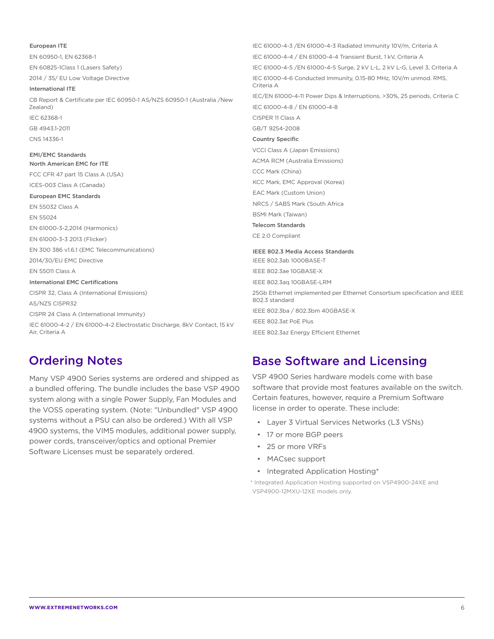European ITE EN 60950-1, EN 62368-1 EN 60825-1Class 1 (Lasers Safety) 2014 / 35/ EU Low Voltage Directive International ITE CB Report & Certificate per IEC 60950-1 AS/NZS 60950-1 (Australia /New Zealand) IEC 62368-1 GB 4943.1-2011 CNS 14336-1 EMI/EMC Standards North American EMC for ITE FCC CFR 47 part 15 Class A (USA) ICES-003 Class A (Canada) European EMC Standards EN 55032 Class A EN 55024 EN 61000-3-2,2014 (Harmonics) EN 61000-3-3 2013 (Flicker) EN 300 386 v1.6.1 (EMC Telecommunications) 2014/30/EU EMC Directive EN 55011 Class A International EMC Certifications CISPR 32, Class A (International Emissions) AS/NZS CISPR32 CISPR 24 Class A (International Immunity) IEC 61000-4-2 / EN 61000-4-2 Electrostatic Discharge, 8kV Contact, 15 kV Air, Criteria A IEC 61000-4-3 /EN 61000-4-3 Radiated Immunity 10V/m, Criteria A IEC 61000-4-4 / EN 61000-4-4 Transient Burst, 1 kV, Criteria A IEC 61000-4-5 /EN 61000-4-5 Surge, 2 kV L-L, 2 kV L-G, Level 3, Criteria A IEC 61000-4-6 Conducted Immunity, 0.15-80 MHz, 10V/m unmod. RMS, Criteria A IEC/EN 61000-4-11 Power Dips & Interruptions, >30%, 25 periods, Criteria C IEC 61000-4-8 / EN 61000-4-8 CISPER 11 Class A GB/T 9254-2008 Country Specific VCCI Class A (Japan Emissions) ACMA RCM (Australia Emissions) CCC Mark (China) KCC Mark, EMC Approval (Korea) EAC Mark (Custom Union) NRCS / SABS Mark (South Africa BSMI Mark (Taiwan) Telecom Standards CE 2.0 Compliant IEEE 802.3 Media Access Standards IEEE 802.3ab 1000BASE-T IEEE 802.3ae 10GBASE-X IEEE 802.3aq 10GBASE-LRM 25Gb Ethernet implemented per Ethernet Consortium specification and IEEE 802.3 standard IEEE 802.3ba / 802.3bm 40GBASE-X IEEE 802.3at PoE Plus IEEE 802.3az Energy Efficient Ethernet

# Ordering Notes

Many VSP 4900 Series systems are ordered and shipped as a bundled offering. The bundle includes the base VSP 4900 system along with a single Power Supply, Fan Modules and the VOSS operating system. (Note: "Unbundled" VSP 4900 systems without a PSU can also be ordered.) With all VSP 4900 systems, the VIM5 modules, additional power supply, power cords, transceiver/optics and optional Premier Software Licenses must be separately ordered.

# Base Software and Licensing

VSP 4900 Series hardware models come with base software that provide most features available on the switch. Certain features, however, require a Premium Software license in order to operate. These include:

- Layer 3 Virtual Services Networks (L3 VSNs)
- 17 or more BGP peers
- 25 or more VRFs
- MACsec support
- Integrated Application Hosting\*

\* Integrated Application Hosting supported on VSP4900-24XE and VSP4900-12MXU-12XE models only.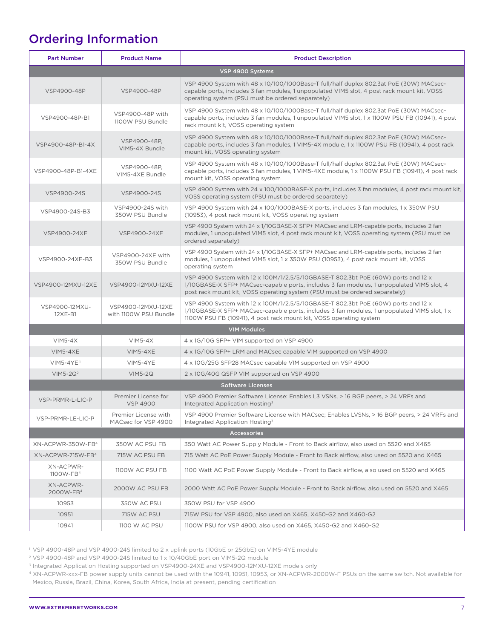# Ordering Information

| <b>Part Number</b>                 | <b>Product Name</b>                         | <b>Product Description</b>                                                                                                                                                                                                                                    |
|------------------------------------|---------------------------------------------|---------------------------------------------------------------------------------------------------------------------------------------------------------------------------------------------------------------------------------------------------------------|
|                                    |                                             | VSP 4900 Systems                                                                                                                                                                                                                                              |
| VSP4900-48P                        | VSP4900-48P                                 | VSP 4900 System with 48 x 10/100/1000Base-T full/half duplex 802.3at PoE (30W) MACsec-<br>capable ports, includes 3 fan modules, 1 unpopulated VIM5 slot, 4 post rack mount kit, VOSS<br>operating system (PSU must be ordered separately)                    |
| VSP4900-48P-B1                     | VSP4900-48P with<br>1100W PSU Bundle        | VSP 4900 System with 48 x 10/100/1000Base-T full/half duplex 802.3at PoE (30W) MACsec-<br>capable ports, includes 3 fan modules, 1 unpopulated VIM5 slot, 1 x 1100W PSU FB (10941), 4 post<br>rack mount kit, VOSS operating system                           |
| VSP4900-48P-B1-4X                  | VSP4900-48P.<br>VIM5-4X Bundle              | VSP 4900 System with 48 x 10/100/1000Base-T full/half duplex 802.3at PoE (30W) MACsec-<br>capable ports, includes 3 fan modules, 1 VIM5-4X module, 1 x 1100W PSU FB (10941), 4 post rack<br>mount kit, VOSS operating system                                  |
| VSP4900-48P-B1-4XE                 | VSP4900-48P,<br>VIM5-4XE Bundle             | VSP 4900 System with 48 x 10/100/1000Base-T full/half duplex 802.3at PoE (30W) MACsec-<br>capable ports, includes 3 fan modules, 1 VIM5-4XE module, 1 x 1100W PSU FB (10941), 4 post rack<br>mount kit, VOSS operating system                                 |
| VSP4900-24S                        | VSP4900-24S                                 | VSP 4900 System with 24 x 100/1000BASE-X ports, includes 3 fan modules, 4 post rack mount kit,<br>VOSS operating system (PSU must be ordered separately)                                                                                                      |
| VSP4900-24S-B3                     | VSP4900-24S with<br>350W PSU Bundle         | VSP 4900 System with 24 x 100/1000BASE-X ports, includes 3 fan modules, 1 x 350W PSU<br>(10953), 4 post rack mount kit, VOSS operating system                                                                                                                 |
| VSP4900-24XE                       | <b>VSP4900-24XE</b>                         | VSP 4900 System with 24 x 1/10GBASE-X SFP+ MACsec and LRM-capable ports, includes 2 fan<br>modules, 1 unpopulated VIM5 slot, 4 post rack mount kit, VOSS operating system (PSU must be<br>ordered separately)                                                 |
| VSP4900-24XE-B3                    | VSP4900-24XE with<br>350W PSU Bundle        | VSP 4900 System with 24 x 1/10GBASE-X SFP+ MACsec and LRM-capable ports, includes 2 fan<br>modules, 1 unpopulated VIM5 slot, 1 x 350W PSU (10953), 4 post rack mount kit, VOSS<br>operating system                                                            |
| VSP4900-12MXU-12XE                 | VSP4900-12MXU-12XE                          | VSP 4900 System with 12 x 100M/1/2.5/5/10GBASE-T 802.3bt PoE (60W) ports and 12 x<br>1/10GBASE-X SFP+ MACsec-capable ports, includes 3 fan modules, 1 unpopulated VIM5 slot, 4<br>post rack mount kit, VOSS operating system (PSU must be ordered separately) |
| VSP4900-12MXU-<br>$12XE-B1$        | VSP4900-12MXU-12XE<br>with 1100W PSU Bundle | VSP 4900 System with 12 x 100M/1/2.5/5/10GBASE-T 802.3bt PoE (60W) ports and 12 x<br>1/10GBASE-X SFP+ MACsec-capable ports, includes 3 fan modules, 1 unpopulated VIM5 slot, 1 x<br>1100W PSU FB (10941), 4 post rack mount kit, VOSS operating system        |
|                                    |                                             | <b>VIM Modules</b>                                                                                                                                                                                                                                            |
| $VIM5-4X$                          | $VIM5-4X$                                   | 4 x 1G/10G SFP+ VIM supported on VSP 4900                                                                                                                                                                                                                     |
| <b>VIM5-4XE</b>                    | <b>VIM5-4XE</b>                             | 4 x 1G/10G SFP+ LRM and MACsec capable VIM supported on VSP 4900                                                                                                                                                                                              |
| $VIM5-4YE$ <sup>1</sup>            | VIM5-4YE                                    | 4 x 10G/25G SFP28 MACsec capable VIM supported on VSP 4900                                                                                                                                                                                                    |
| $VIM5-2Q2$                         | $VIM5-2Q$                                   | 2 x 10G/40G QSFP VIM supported on VSP 4900                                                                                                                                                                                                                    |
|                                    |                                             | <b>Software Licenses</b>                                                                                                                                                                                                                                      |
| VSP-PRMR-L-LIC-P                   | Premier License for<br><b>VSP 4900</b>      | VSP 4900 Premier Software License: Enables L3 VSNs, > 16 BGP peers, > 24 VRFs and<br>Integrated Application Hosting <sup>3</sup>                                                                                                                              |
| VSP-PRMR-LE-LIC-P                  | Premier License with<br>MACsec for VSP 4900 | VSP 4900 Premier Software License with MACsec; Enables LVSNs, > 16 BGP peers, > 24 VRFs and<br>Integrated Application Hosting <sup>3</sup>                                                                                                                    |
|                                    |                                             | <b>Accessories</b>                                                                                                                                                                                                                                            |
| XN-ACPWR-350W-FB <sup>4</sup>      | 350W AC PSU FB                              | 350 Watt AC Power Supply Module - Front to Back airflow, also used on 5520 and X465                                                                                                                                                                           |
| XN-ACPWR-715W-FB4                  | 715W AC PSU FB                              | 715 Watt AC PoE Power Supply Module - Front to Back airflow, also used on 5520 and X465                                                                                                                                                                       |
| XN-ACPWR-<br>1100W-FB <sup>4</sup> | 1100W AC PSU FB                             | 1100 Watt AC PoE Power Supply Module - Front to Back airflow, also used on 5520 and X465                                                                                                                                                                      |
| XN-ACPWR-<br>2000W-FB <sup>4</sup> | 2000W AC PSU FB                             | 2000 Watt AC PoE Power Supply Module - Front to Back airflow, also used on 5520 and X465                                                                                                                                                                      |
| 10953                              | 350W AC PSU                                 | 350W PSU for VSP 4900                                                                                                                                                                                                                                         |
| 10951                              | 715W AC PSU                                 | 715W PSU for VSP 4900, also used on X465, X450-G2 and X460-G2                                                                                                                                                                                                 |
| 10941                              | 1100 W AC PSU                               | 1100W PSU for VSP 4900, also used on X465, X450-G2 and X460-G2                                                                                                                                                                                                |

1 VSP 4900-48P and VSP 4900-24S limited to 2 x uplink ports (10GbE or 25GbE) on VIM5-4YE module

2 VSP 4900-48P and VSP 4900-24S limited to 1 x 10/40GbE port on VIM5-2Q module

3 Integrated Application Hosting supported on VSP4900-24XE and VSP4900-12MXU-12XE models only

4 XN-ACPWR-xxx-FB power supply units cannot be used with the 10941, 10951, 10953, or XN-ACPWR-2000W-F PSUs on the same switch. Not available for Mexico, Russia, Brazil, China, Korea, South Africa, India at present, pending certification